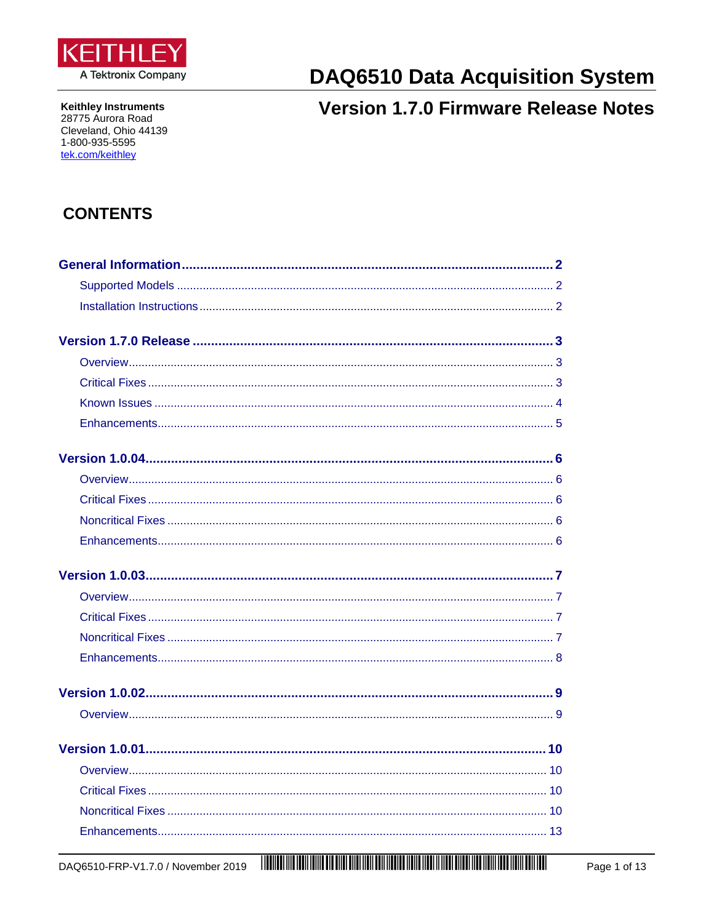<span id="page-0-0"></span>

**Keithley Instruments** 28775 Aurora Road Cleveland, Ohio 44139 1-800-935-5595 tek.com/keithley

# **DAQ6510 Data Acquisition System**

## **Version 1.7.0 Firmware Release Notes**

## **CONTENTS**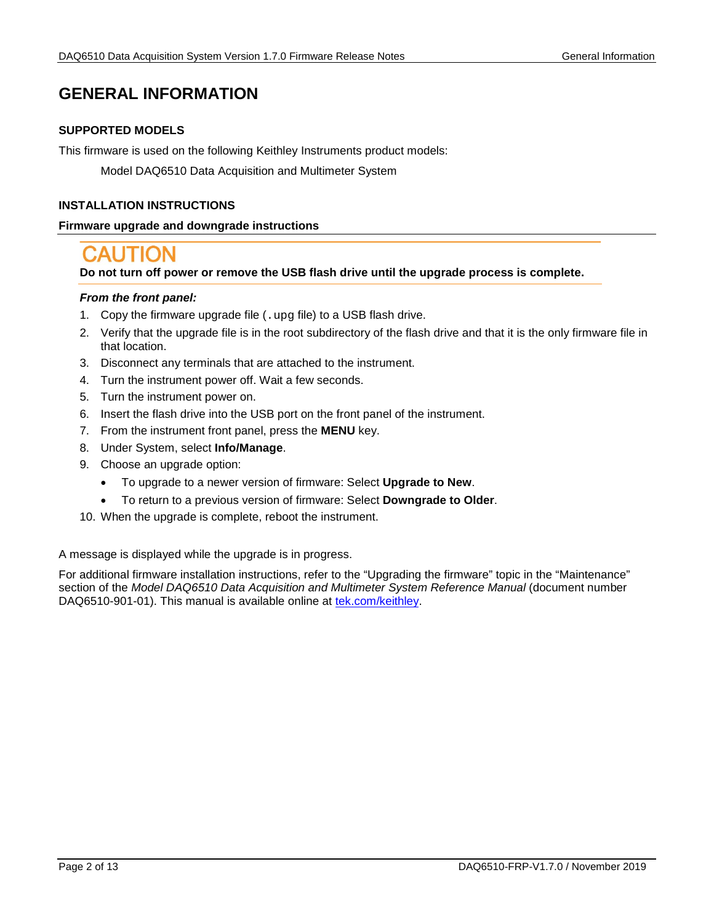## <span id="page-1-0"></span>**GENERAL INFORMATION**

#### **SUPPORTED MODELS**

This firmware is used on the following Keithley Instruments product models:

Model DAQ6510 Data Acquisition and Multimeter System

#### <span id="page-1-1"></span>**INSTALLATION INSTRUCTIONS**

#### **Firmware upgrade and downgrade instructions**

**Do not turn off power or remove the USB flash drive until the upgrade process is complete.**

#### *From the front panel:*

- 1. Copy the firmware upgrade file (. upg file) to a USB flash drive.
- 2. Verify that the upgrade file is in the root subdirectory of the flash drive and that it is the only firmware file in that location.
- 3. Disconnect any terminals that are attached to the instrument.
- 4. Turn the instrument power off. Wait a few seconds.
- 5. Turn the instrument power on.
- 6. Insert the flash drive into the USB port on the front panel of the instrument.
- 7. From the instrument front panel, press the **MENU** key.
- 8. Under System, select **Info/Manage**.
- 9. Choose an upgrade option:
	- To upgrade to a newer version of firmware: Select **Upgrade to New**.
	- To return to a previous version of firmware: Select **Downgrade to Older**.
- 10. When the upgrade is complete, reboot the instrument.

A message is displayed while the upgrade is in progress.

For additional firmware installation instructions, refer to the "Upgrading the firmware" topic in the "Maintenance" section of the *Model DAQ6510 Data Acquisition and Multimeter System Reference Manual* (document number DAQ6510-901-01). This manual is available online at [tek.com/keithley.](https://www.tek.com/keithley)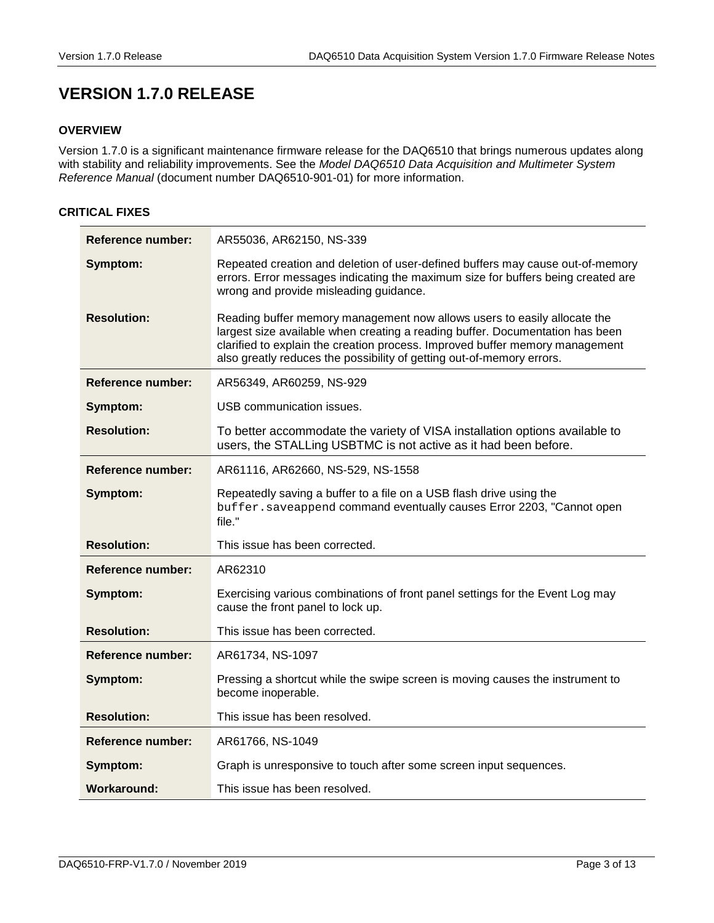## <span id="page-2-0"></span>**VERSION 1.7.0 RELEASE**

#### <span id="page-2-1"></span>**OVERVIEW**

Version 1.7.0 is a significant maintenance firmware release for the DAQ6510 that brings numerous updates along with stability and reliability improvements. See the *Model DAQ6510 Data Acquisition and Multimeter System Reference Manual* (document number DAQ6510-901-01) for more information.

### <span id="page-2-2"></span>**CRITICAL FIXES**

| <b>Reference number:</b> | AR55036, AR62150, NS-339                                                                                                                                                                                                                                                                                           |
|--------------------------|--------------------------------------------------------------------------------------------------------------------------------------------------------------------------------------------------------------------------------------------------------------------------------------------------------------------|
| Symptom:                 | Repeated creation and deletion of user-defined buffers may cause out-of-memory<br>errors. Error messages indicating the maximum size for buffers being created are<br>wrong and provide misleading guidance.                                                                                                       |
| <b>Resolution:</b>       | Reading buffer memory management now allows users to easily allocate the<br>largest size available when creating a reading buffer. Documentation has been<br>clarified to explain the creation process. Improved buffer memory management<br>also greatly reduces the possibility of getting out-of-memory errors. |
| Reference number:        | AR56349, AR60259, NS-929                                                                                                                                                                                                                                                                                           |
| Symptom:                 | USB communication issues.                                                                                                                                                                                                                                                                                          |
| <b>Resolution:</b>       | To better accommodate the variety of VISA installation options available to<br>users, the STALLing USBTMC is not active as it had been before.                                                                                                                                                                     |
| Reference number:        | AR61116, AR62660, NS-529, NS-1558                                                                                                                                                                                                                                                                                  |
| Symptom:                 | Repeatedly saving a buffer to a file on a USB flash drive using the<br>buffer.saveappend command eventually causes Error 2203, "Cannot open<br>file."                                                                                                                                                              |
| <b>Resolution:</b>       | This issue has been corrected.                                                                                                                                                                                                                                                                                     |
| Reference number:        | AR62310                                                                                                                                                                                                                                                                                                            |
| Symptom:                 | Exercising various combinations of front panel settings for the Event Log may<br>cause the front panel to lock up.                                                                                                                                                                                                 |
| <b>Resolution:</b>       | This issue has been corrected.                                                                                                                                                                                                                                                                                     |
| <b>Reference number:</b> | AR61734, NS-1097                                                                                                                                                                                                                                                                                                   |
| Symptom:                 | Pressing a shortcut while the swipe screen is moving causes the instrument to<br>become inoperable.                                                                                                                                                                                                                |
| <b>Resolution:</b>       | This issue has been resolved.                                                                                                                                                                                                                                                                                      |
| Reference number:        | AR61766, NS-1049                                                                                                                                                                                                                                                                                                   |
| Symptom:                 | Graph is unresponsive to touch after some screen input sequences.                                                                                                                                                                                                                                                  |
| Workaround:              | This issue has been resolved.                                                                                                                                                                                                                                                                                      |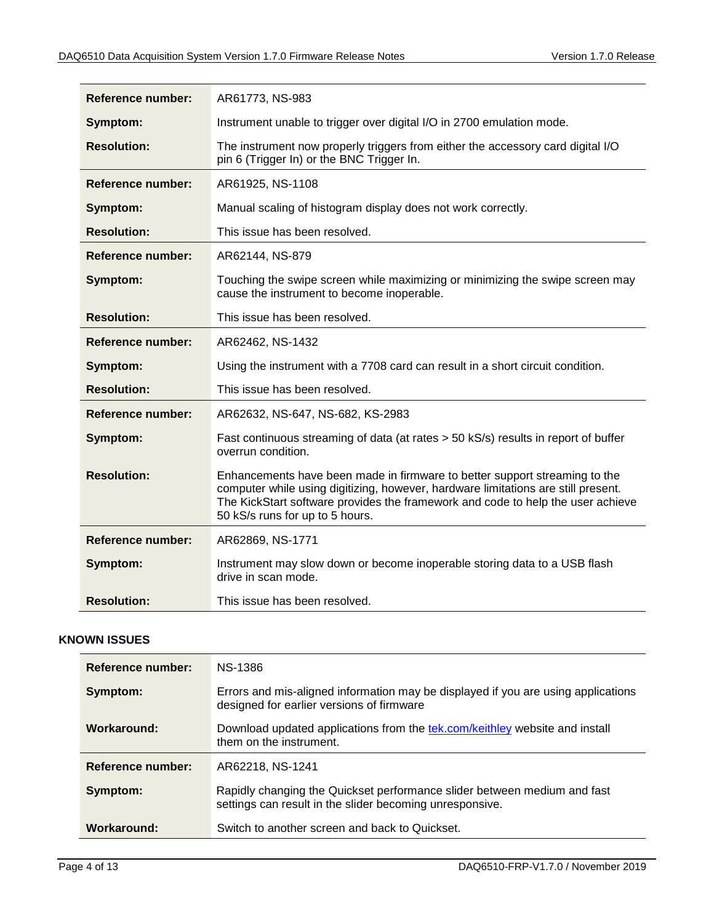| <b>Reference number:</b> | AR61773, NS-983                                                                                                                                                                                                                                                                       |
|--------------------------|---------------------------------------------------------------------------------------------------------------------------------------------------------------------------------------------------------------------------------------------------------------------------------------|
| Symptom:                 | Instrument unable to trigger over digital I/O in 2700 emulation mode.                                                                                                                                                                                                                 |
| <b>Resolution:</b>       | The instrument now properly triggers from either the accessory card digital I/O<br>pin 6 (Trigger In) or the BNC Trigger In.                                                                                                                                                          |
| Reference number:        | AR61925, NS-1108                                                                                                                                                                                                                                                                      |
| Symptom:                 | Manual scaling of histogram display does not work correctly.                                                                                                                                                                                                                          |
| <b>Resolution:</b>       | This issue has been resolved.                                                                                                                                                                                                                                                         |
| Reference number:        | AR62144, NS-879                                                                                                                                                                                                                                                                       |
| Symptom:                 | Touching the swipe screen while maximizing or minimizing the swipe screen may<br>cause the instrument to become inoperable.                                                                                                                                                           |
| <b>Resolution:</b>       | This issue has been resolved.                                                                                                                                                                                                                                                         |
| Reference number:        | AR62462, NS-1432                                                                                                                                                                                                                                                                      |
| Symptom:                 | Using the instrument with a 7708 card can result in a short circuit condition.                                                                                                                                                                                                        |
| <b>Resolution:</b>       | This issue has been resolved.                                                                                                                                                                                                                                                         |
| Reference number:        | AR62632, NS-647, NS-682, KS-2983                                                                                                                                                                                                                                                      |
| Symptom:                 | Fast continuous streaming of data (at rates > 50 kS/s) results in report of buffer<br>overrun condition.                                                                                                                                                                              |
| <b>Resolution:</b>       | Enhancements have been made in firmware to better support streaming to the<br>computer while using digitizing, however, hardware limitations are still present.<br>The KickStart software provides the framework and code to help the user achieve<br>50 kS/s runs for up to 5 hours. |
| Reference number:        | AR62869, NS-1771                                                                                                                                                                                                                                                                      |
| Symptom:                 | Instrument may slow down or become inoperable storing data to a USB flash<br>drive in scan mode.                                                                                                                                                                                      |
| <b>Resolution:</b>       | This issue has been resolved.                                                                                                                                                                                                                                                         |

#### <span id="page-3-0"></span>**KNOWN ISSUES**

| <b>Reference number:</b> | NS-1386                                                                                                                              |
|--------------------------|--------------------------------------------------------------------------------------------------------------------------------------|
| Symptom:                 | Errors and mis-aligned information may be displayed if you are using applications<br>designed for earlier versions of firmware       |
| Workaround:              | Download updated applications from the tek.com/keithley website and install<br>them on the instrument.                               |
| Reference number:        | AR62218, NS-1241                                                                                                                     |
| Symptom:                 | Rapidly changing the Quickset performance slider between medium and fast<br>settings can result in the slider becoming unresponsive. |
| Workaround:              | Switch to another screen and back to Quickset.                                                                                       |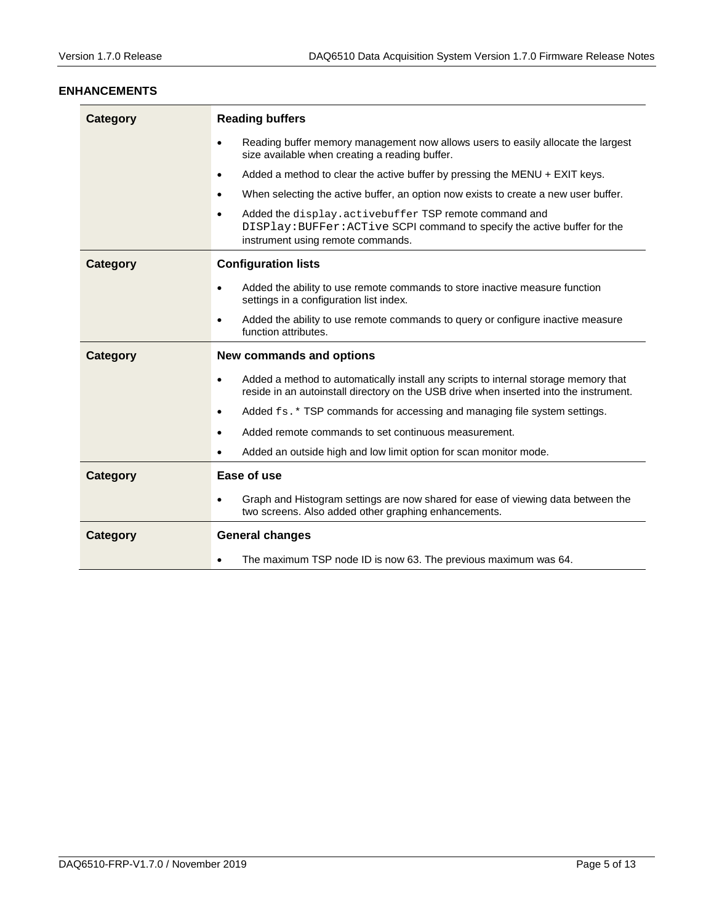#### <span id="page-4-0"></span>**ENHANCEMENTS**

| <b>Category</b> | <b>Reading buffers</b>                                                                                                                                                                     |
|-----------------|--------------------------------------------------------------------------------------------------------------------------------------------------------------------------------------------|
|                 | Reading buffer memory management now allows users to easily allocate the largest<br>$\bullet$<br>size available when creating a reading buffer.                                            |
|                 | Added a method to clear the active buffer by pressing the MENU $+$ EXIT keys.<br>$\bullet$                                                                                                 |
|                 | When selecting the active buffer, an option now exists to create a new user buffer.<br>$\bullet$                                                                                           |
|                 | Added the display.activebuffer TSP remote command and<br>$\bullet$<br>DISPlay: BUFFer: ACTive SCPI command to specify the active buffer for the<br>instrument using remote commands.       |
| <b>Category</b> | <b>Configuration lists</b>                                                                                                                                                                 |
|                 | Added the ability to use remote commands to store inactive measure function<br>$\bullet$<br>settings in a configuration list index.                                                        |
|                 | Added the ability to use remote commands to query or configure inactive measure<br>$\bullet$<br>function attributes.                                                                       |
|                 |                                                                                                                                                                                            |
| <b>Category</b> | <b>New commands and options</b>                                                                                                                                                            |
|                 | Added a method to automatically install any scripts to internal storage memory that<br>$\bullet$<br>reside in an autoinstall directory on the USB drive when inserted into the instrument. |
|                 | Added fs. * TSP commands for accessing and managing file system settings.<br>$\bullet$                                                                                                     |
|                 | Added remote commands to set continuous measurement.<br>$\bullet$                                                                                                                          |
|                 | Added an outside high and low limit option for scan monitor mode.<br>$\bullet$                                                                                                             |
| <b>Category</b> | Ease of use                                                                                                                                                                                |
|                 | Graph and Histogram settings are now shared for ease of viewing data between the<br>$\bullet$<br>two screens. Also added other graphing enhancements.                                      |
| <b>Category</b> | <b>General changes</b>                                                                                                                                                                     |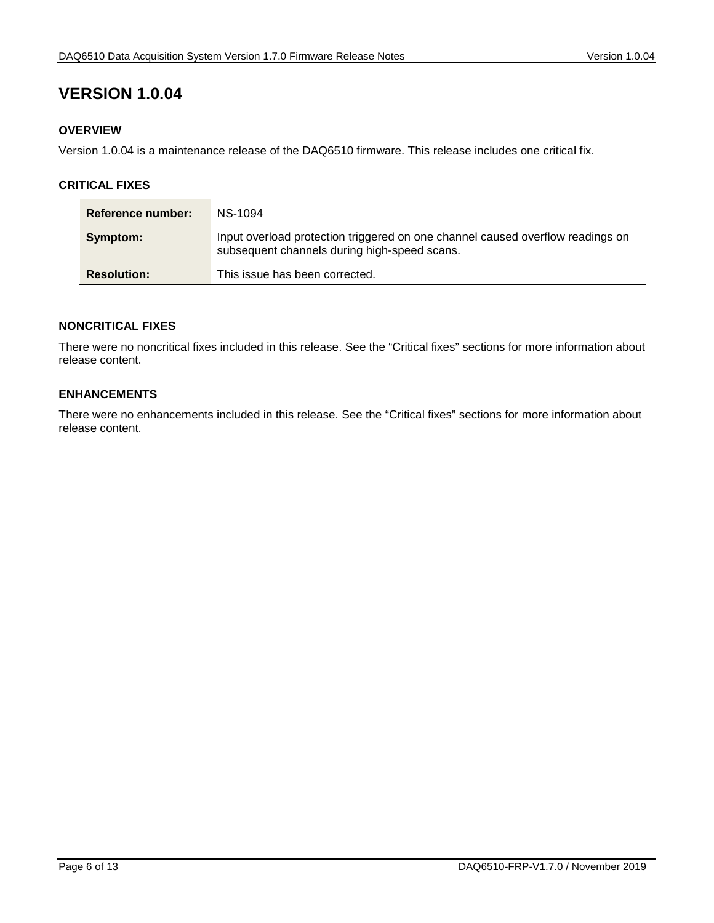#### <span id="page-5-1"></span><span id="page-5-0"></span>**OVERVIEW**

Version 1.0.04 is a maintenance release of the DAQ6510 firmware. This release includes one critical fix.

#### <span id="page-5-2"></span>**CRITICAL FIXES**

| Reference number:  | NS-1094                                                                                                                        |
|--------------------|--------------------------------------------------------------------------------------------------------------------------------|
| Symptom:           | Input overload protection triggered on one channel caused overflow readings on<br>subsequent channels during high-speed scans. |
| <b>Resolution:</b> | This issue has been corrected.                                                                                                 |

#### <span id="page-5-3"></span>**NONCRITICAL FIXES**

There were no noncritical fixes included in this release. See the "Critical fixes" sections for more information about release content.

#### <span id="page-5-4"></span>**ENHANCEMENTS**

There were no enhancements included in this release. See the "Critical fixes" sections for more information about release content.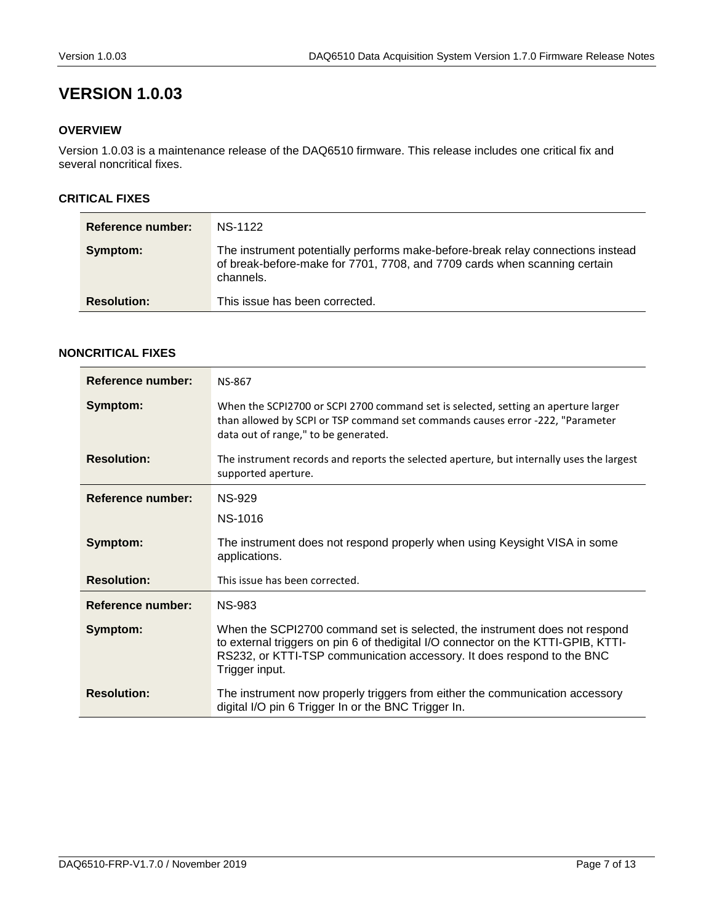#### <span id="page-6-1"></span><span id="page-6-0"></span>**OVERVIEW**

Version 1.0.03 is a maintenance release of the DAQ6510 firmware. This release includes one critical fix and several noncritical fixes.

#### <span id="page-6-2"></span>**CRITICAL FIXES**

| Reference number:  | NS-1122                                                                                                                                                                   |
|--------------------|---------------------------------------------------------------------------------------------------------------------------------------------------------------------------|
| Symptom:           | The instrument potentially performs make-before-break relay connections instead<br>of break-before-make for 7701, 7708, and 7709 cards when scanning certain<br>channels. |
| <b>Resolution:</b> | This issue has been corrected.                                                                                                                                            |

#### <span id="page-6-3"></span>**NONCRITICAL FIXES**

| Reference number:        | <b>NS-867</b>                                                                                                                                                                                                                                                |
|--------------------------|--------------------------------------------------------------------------------------------------------------------------------------------------------------------------------------------------------------------------------------------------------------|
| Symptom:                 | When the SCPI2700 or SCPI 2700 command set is selected, setting an aperture larger<br>than allowed by SCPI or TSP command set commands causes error -222, "Parameter<br>data out of range," to be generated.                                                 |
| <b>Resolution:</b>       | The instrument records and reports the selected aperture, but internally uses the largest<br>supported aperture.                                                                                                                                             |
| <b>Reference number:</b> | NS-929                                                                                                                                                                                                                                                       |
|                          | NS-1016                                                                                                                                                                                                                                                      |
| Symptom:                 | The instrument does not respond properly when using Keysight VISA in some<br>applications.                                                                                                                                                                   |
| <b>Resolution:</b>       | This issue has been corrected.                                                                                                                                                                                                                               |
| Reference number:        | <b>NS-983</b>                                                                                                                                                                                                                                                |
| Symptom:                 | When the SCPI2700 command set is selected, the instrument does not respond<br>to external triggers on pin 6 of the digital I/O connector on the KTTI-GPIB, KTTI-<br>RS232, or KTTI-TSP communication accessory. It does respond to the BNC<br>Trigger input. |
| <b>Resolution:</b>       | The instrument now properly triggers from either the communication accessory<br>digital I/O pin 6 Trigger In or the BNC Trigger In.                                                                                                                          |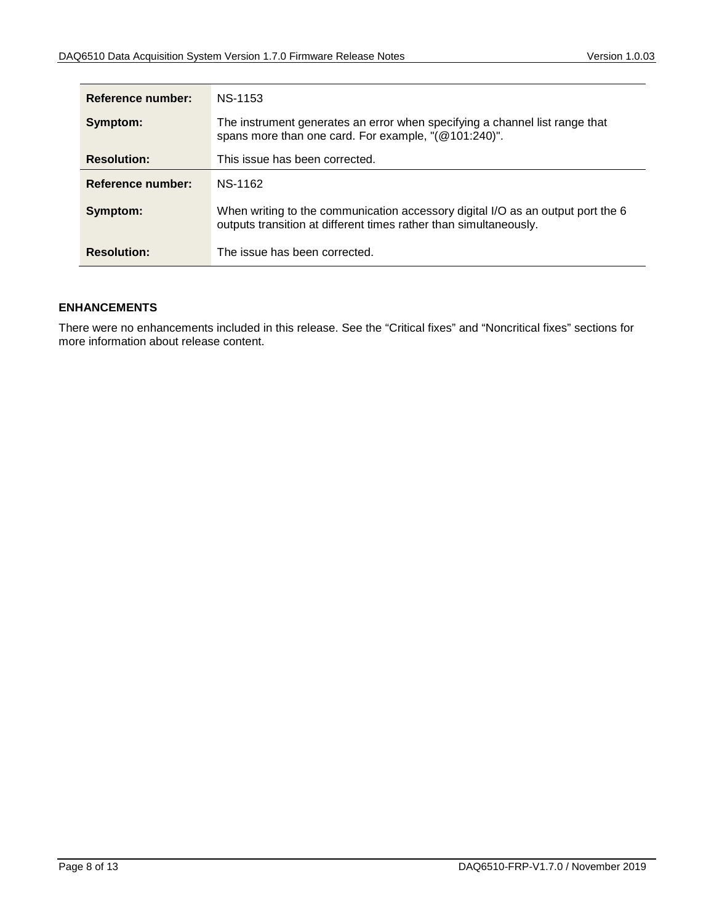| Reference number:  | NS-1153                                                                                                                                              |
|--------------------|------------------------------------------------------------------------------------------------------------------------------------------------------|
| Symptom:           | The instrument generates an error when specifying a channel list range that<br>spans more than one card. For example, "(@101:240)".                  |
| <b>Resolution:</b> | This issue has been corrected.                                                                                                                       |
| Reference number:  | NS-1162                                                                                                                                              |
| Symptom:           | When writing to the communication accessory digital I/O as an output port the 6<br>outputs transition at different times rather than simultaneously. |
| <b>Resolution:</b> | The issue has been corrected.                                                                                                                        |

#### <span id="page-7-0"></span>**ENHANCEMENTS**

There were no enhancements included in this release. See the "Critical fixes" and "Noncritical fixes" sections for more information about release content.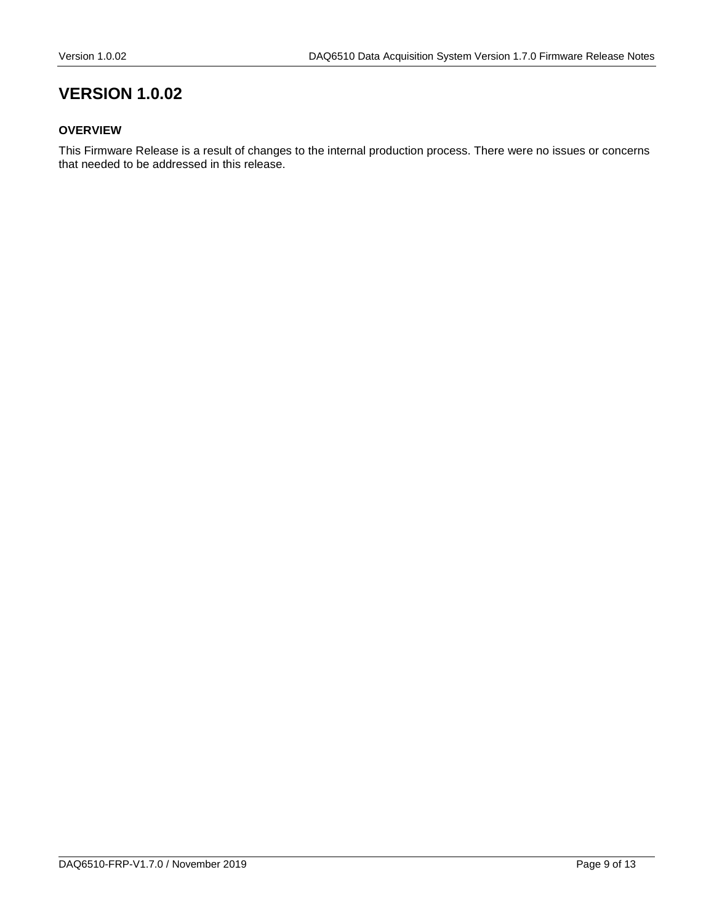#### <span id="page-8-1"></span><span id="page-8-0"></span>**OVERVIEW**

This Firmware Release is a result of changes to the internal production process. There were no issues or concerns that needed to be addressed in this release.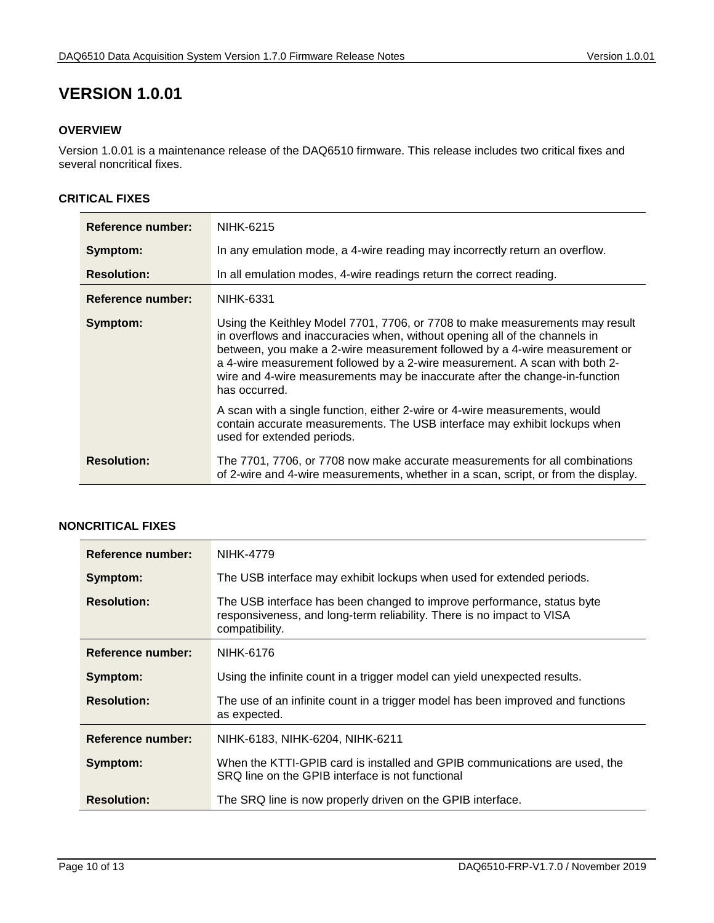#### <span id="page-9-1"></span><span id="page-9-0"></span>**OVERVIEW**

Version 1.0.01 is a maintenance release of the DAQ6510 firmware. This release includes two critical fixes and several noncritical fixes.

#### <span id="page-9-2"></span>**CRITICAL FIXES**

| <b>Reference number:</b> | NIHK-6215                                                                                                                                                                                                                                                                                                                                                                                                              |
|--------------------------|------------------------------------------------------------------------------------------------------------------------------------------------------------------------------------------------------------------------------------------------------------------------------------------------------------------------------------------------------------------------------------------------------------------------|
| Symptom:                 | In any emulation mode, a 4-wire reading may incorrectly return an overflow.                                                                                                                                                                                                                                                                                                                                            |
| <b>Resolution:</b>       | In all emulation modes, 4-wire readings return the correct reading.                                                                                                                                                                                                                                                                                                                                                    |
| Reference number:        | NIHK-6331                                                                                                                                                                                                                                                                                                                                                                                                              |
| Symptom:                 | Using the Keithley Model 7701, 7706, or 7708 to make measurements may result<br>in overflows and inaccuracies when, without opening all of the channels in<br>between, you make a 2-wire measurement followed by a 4-wire measurement or<br>a 4-wire measurement followed by a 2-wire measurement. A scan with both 2-<br>wire and 4-wire measurements may be inaccurate after the change-in-function<br>has occurred. |
|                          | A scan with a single function, either 2-wire or 4-wire measurements, would<br>contain accurate measurements. The USB interface may exhibit lockups when<br>used for extended periods.                                                                                                                                                                                                                                  |
| <b>Resolution:</b>       | The 7701, 7706, or 7708 now make accurate measurements for all combinations<br>of 2-wire and 4-wire measurements, whether in a scan, script, or from the display.                                                                                                                                                                                                                                                      |

### <span id="page-9-3"></span>**NONCRITICAL FIXES**

| Reference number:        | NIHK-4779                                                                                                                                                         |
|--------------------------|-------------------------------------------------------------------------------------------------------------------------------------------------------------------|
| Symptom:                 | The USB interface may exhibit lockups when used for extended periods.                                                                                             |
| <b>Resolution:</b>       | The USB interface has been changed to improve performance, status byte<br>responsiveness, and long-term reliability. There is no impact to VISA<br>compatibility. |
| <b>Reference number:</b> | NIHK-6176                                                                                                                                                         |
| Symptom:                 | Using the infinite count in a trigger model can yield unexpected results.                                                                                         |
| <b>Resolution:</b>       | The use of an infinite count in a trigger model has been improved and functions<br>as expected.                                                                   |
| <b>Reference number:</b> | NIHK-6183, NIHK-6204, NIHK-6211                                                                                                                                   |
| Symptom:                 | When the KTTI-GPIB card is installed and GPIB communications are used, the<br>SRQ line on the GPIB interface is not functional                                    |
| <b>Resolution:</b>       | The SRQ line is now properly driven on the GPIB interface.                                                                                                        |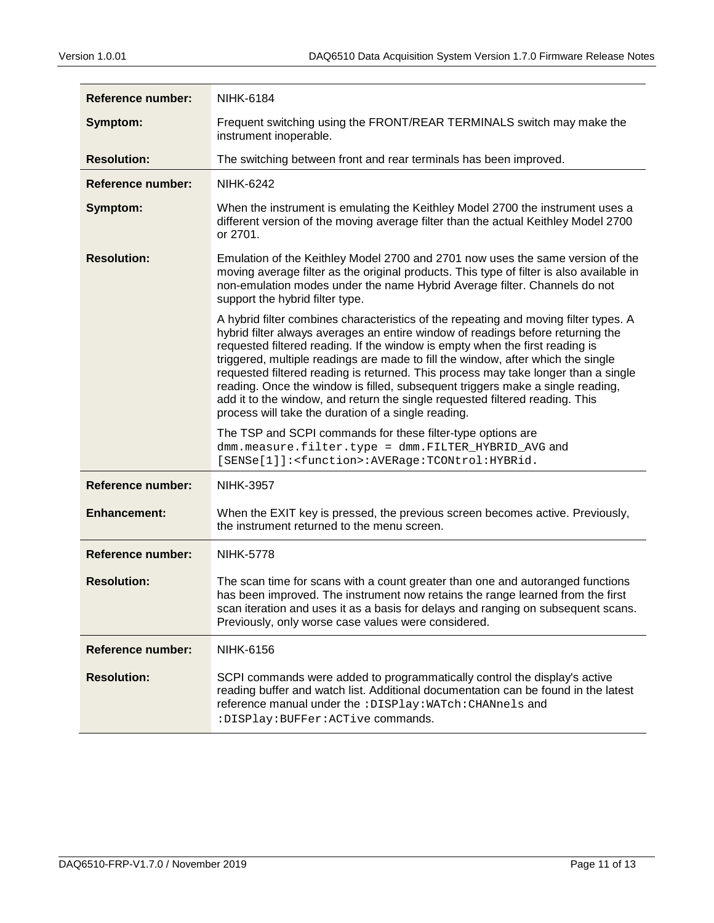| Reference number:        | <b>NIHK-6184</b>                                                                                                                                                                                                                                                                                                                                                                                                                                                                                                                                                                                                                                           |
|--------------------------|------------------------------------------------------------------------------------------------------------------------------------------------------------------------------------------------------------------------------------------------------------------------------------------------------------------------------------------------------------------------------------------------------------------------------------------------------------------------------------------------------------------------------------------------------------------------------------------------------------------------------------------------------------|
| Symptom:                 | Frequent switching using the FRONT/REAR TERMINALS switch may make the<br>instrument inoperable.                                                                                                                                                                                                                                                                                                                                                                                                                                                                                                                                                            |
| <b>Resolution:</b>       | The switching between front and rear terminals has been improved.                                                                                                                                                                                                                                                                                                                                                                                                                                                                                                                                                                                          |
| <b>Reference number:</b> | <b>NIHK-6242</b>                                                                                                                                                                                                                                                                                                                                                                                                                                                                                                                                                                                                                                           |
| Symptom:                 | When the instrument is emulating the Keithley Model 2700 the instrument uses a<br>different version of the moving average filter than the actual Keithley Model 2700<br>or 2701.                                                                                                                                                                                                                                                                                                                                                                                                                                                                           |
| <b>Resolution:</b>       | Emulation of the Keithley Model 2700 and 2701 now uses the same version of the<br>moving average filter as the original products. This type of filter is also available in<br>non-emulation modes under the name Hybrid Average filter. Channels do not<br>support the hybrid filter type.                                                                                                                                                                                                                                                                                                                                                                 |
|                          | A hybrid filter combines characteristics of the repeating and moving filter types. A<br>hybrid filter always averages an entire window of readings before returning the<br>requested filtered reading. If the window is empty when the first reading is<br>triggered, multiple readings are made to fill the window, after which the single<br>requested filtered reading is returned. This process may take longer than a single<br>reading. Once the window is filled, subsequent triggers make a single reading,<br>add it to the window, and return the single requested filtered reading. This<br>process will take the duration of a single reading. |
|                          | The TSP and SCPI commands for these filter-type options are<br>dmm.measure.filter.type = dmm.FILTER_HYBRID_AVG and<br>[SENSe[1]]: <function>:AVERage:TCONtrol:HYBRid.</function>                                                                                                                                                                                                                                                                                                                                                                                                                                                                           |
| <b>Reference number:</b> | <b>NIHK-3957</b>                                                                                                                                                                                                                                                                                                                                                                                                                                                                                                                                                                                                                                           |
| <b>Enhancement:</b>      | When the EXIT key is pressed, the previous screen becomes active. Previously,<br>the instrument returned to the menu screen.                                                                                                                                                                                                                                                                                                                                                                                                                                                                                                                               |
| <b>Reference number:</b> | <b>NIHK-5778</b>                                                                                                                                                                                                                                                                                                                                                                                                                                                                                                                                                                                                                                           |
| <b>Resolution:</b>       | The scan time for scans with a count greater than one and autoranged functions<br>has been improved. The instrument now retains the range learned from the first<br>scan iteration and uses it as a basis for delays and ranging on subsequent scans.<br>Previously, only worse case values were considered.                                                                                                                                                                                                                                                                                                                                               |
| <b>Reference number:</b> | <b>NIHK-6156</b>                                                                                                                                                                                                                                                                                                                                                                                                                                                                                                                                                                                                                                           |
| <b>Resolution:</b>       | SCPI commands were added to programmatically control the display's active<br>reading buffer and watch list. Additional documentation can be found in the latest<br>reference manual under the : DISPlay: WATch: CHANnels and<br>: DISPlay: BUFFer: ACTive commands.                                                                                                                                                                                                                                                                                                                                                                                        |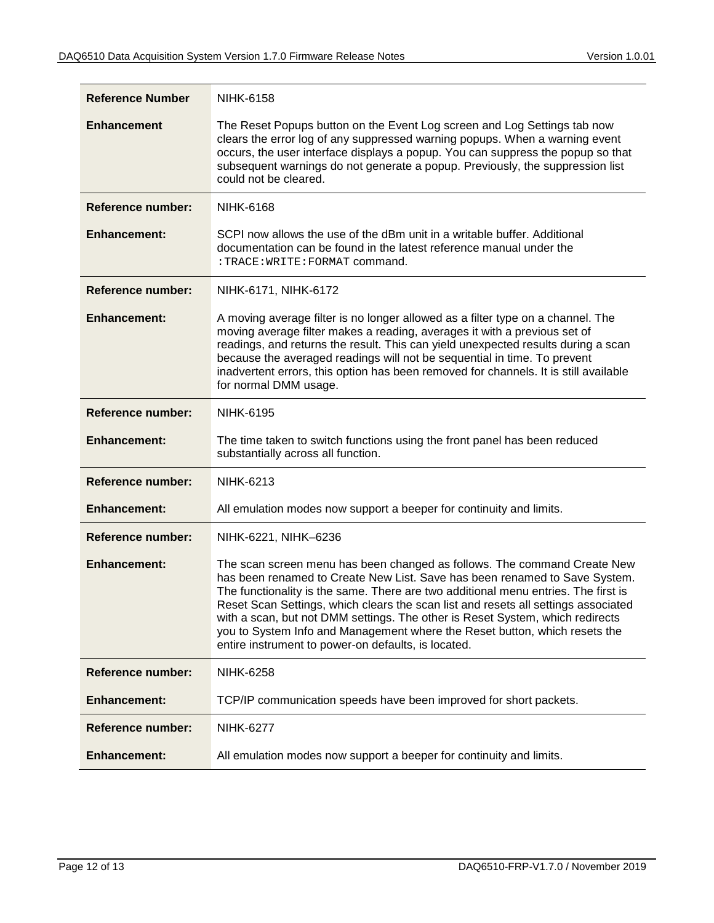| <b>Reference Number</b>  | <b>NIHK-6158</b>                                                                                                                                                                                                                                                                                                                                                                                                                                                                                                                                         |
|--------------------------|----------------------------------------------------------------------------------------------------------------------------------------------------------------------------------------------------------------------------------------------------------------------------------------------------------------------------------------------------------------------------------------------------------------------------------------------------------------------------------------------------------------------------------------------------------|
| <b>Enhancement</b>       | The Reset Popups button on the Event Log screen and Log Settings tab now<br>clears the error log of any suppressed warning popups. When a warning event<br>occurs, the user interface displays a popup. You can suppress the popup so that<br>subsequent warnings do not generate a popup. Previously, the suppression list<br>could not be cleared.                                                                                                                                                                                                     |
| <b>Reference number:</b> | <b>NIHK-6168</b>                                                                                                                                                                                                                                                                                                                                                                                                                                                                                                                                         |
| <b>Enhancement:</b>      | SCPI now allows the use of the dBm unit in a writable buffer. Additional<br>documentation can be found in the latest reference manual under the<br>: TRACE: WRITE: FORMAT command.                                                                                                                                                                                                                                                                                                                                                                       |
| <b>Reference number:</b> | NIHK-6171, NIHK-6172                                                                                                                                                                                                                                                                                                                                                                                                                                                                                                                                     |
| <b>Enhancement:</b>      | A moving average filter is no longer allowed as a filter type on a channel. The<br>moving average filter makes a reading, averages it with a previous set of<br>readings, and returns the result. This can yield unexpected results during a scan<br>because the averaged readings will not be sequential in time. To prevent<br>inadvertent errors, this option has been removed for channels. It is still available<br>for normal DMM usage.                                                                                                           |
| <b>Reference number:</b> | <b>NIHK-6195</b>                                                                                                                                                                                                                                                                                                                                                                                                                                                                                                                                         |
| <b>Enhancement:</b>      | The time taken to switch functions using the front panel has been reduced<br>substantially across all function.                                                                                                                                                                                                                                                                                                                                                                                                                                          |
| <b>Reference number:</b> | <b>NIHK-6213</b>                                                                                                                                                                                                                                                                                                                                                                                                                                                                                                                                         |
| <b>Enhancement:</b>      | All emulation modes now support a beeper for continuity and limits.                                                                                                                                                                                                                                                                                                                                                                                                                                                                                      |
| <b>Reference number:</b> | NIHK-6221, NIHK-6236                                                                                                                                                                                                                                                                                                                                                                                                                                                                                                                                     |
| <b>Enhancement:</b>      | The scan screen menu has been changed as follows. The command Create New<br>has been renamed to Create New List. Save has been renamed to Save System.<br>The functionality is the same. There are two additional menu entries. The first is<br>Reset Scan Settings, which clears the scan list and resets all settings associated<br>with a scan, but not DMM settings. The other is Reset System, which redirects<br>you to System Info and Management where the Reset button, which resets the<br>entire instrument to power-on defaults, is located. |
| Reference number:        | <b>NIHK-6258</b>                                                                                                                                                                                                                                                                                                                                                                                                                                                                                                                                         |
| <b>Enhancement:</b>      | TCP/IP communication speeds have been improved for short packets.                                                                                                                                                                                                                                                                                                                                                                                                                                                                                        |
| Reference number:        | <b>NIHK-6277</b>                                                                                                                                                                                                                                                                                                                                                                                                                                                                                                                                         |
| <b>Enhancement:</b>      | All emulation modes now support a beeper for continuity and limits.                                                                                                                                                                                                                                                                                                                                                                                                                                                                                      |